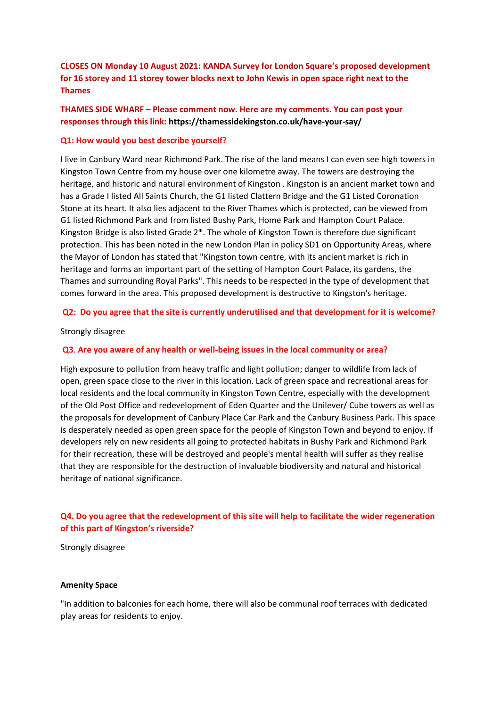# **CLOSES ON Monday 10 August 2021: KANDA Survey for London Square's proposed development for 16 storey and 11 storey tower blocks next to John Kewis in open space right next to the Thames**

# **THAMES SIDE WHARF – Please comment now. Here are my comments. You can post your responses through this link: https://thamessidekingston.co.uk/have-your-say/**

### **Q1: How would you best describe yourself?**

I live in Canbury Ward near Richmond Park. The rise of the land means I can even see high towers in Kingston Town Centre from my house over one kilometre away. The towers are destroying the heritage, and historic and natural environment of Kingston . Kingston is an ancient market town and has a Grade I listed All Saints Church, the G1 listed Clattern Bridge and the G1 Listed Coronation Stone at its heart. It also lies adjacent to the River Thames which is protected, can be viewed from G1 listed Richmond Park and from listed Bushy Park, Home Park and Hampton Court Palace. Kingston Bridge is also listed Grade 2\*. The whole of Kingston Town is therefore due significant protection. This has been noted in the new London Plan in policy SD1 on Opportunity Areas, where the Mayor of London has stated that "Kingston town centre, with its ancient market is rich in heritage and forms an important part of the setting of Hampton Court Palace, its gardens, the Thames and surrounding Royal Parks". This needs to be respected in the type of development that comes forward in the area. This proposed development is destructive to Kingston's heritage.

### **Q2: Do you agree that the site is currently underutilised and that development for it is welcome?**

#### Strongly disagree

### **Q3**. **Are you aware of any health or well-being issues in the local community or area?**

High exposure to pollution from heavy traffic and light pollution; danger to wildlife from lack of open, green space close to the river in this location. Lack of green space and recreational areas for local residents and the local community in Kingston Town Centre, especially with the development of the Old Post Office and redevelopment of Eden Quarter and the Unilever/ Cube towers as well as the proposals for development of Canbury Place Car Park and the Canbury Business Park. This space is desperately needed as open green space for the people of Kingston Town and beyond to enjoy. If developers rely on new residents all going to protected habitats in Bushy Park and Richmond Park for their recreation, these will be destroyed and people's mental health will suffer as they realise that they are responsible for the destruction of invaluable biodiversity and natural and historical heritage of national significance.

## **Q4. Do you agree that the redevelopment of this site will help to facilitate the wider regeneration of this part of Kingston's riverside?**

Strongly disagree

### **Amenity Space**

"In addition to balconies for each home, there will also be communal roof terraces with dedicated play areas for residents to enjoy.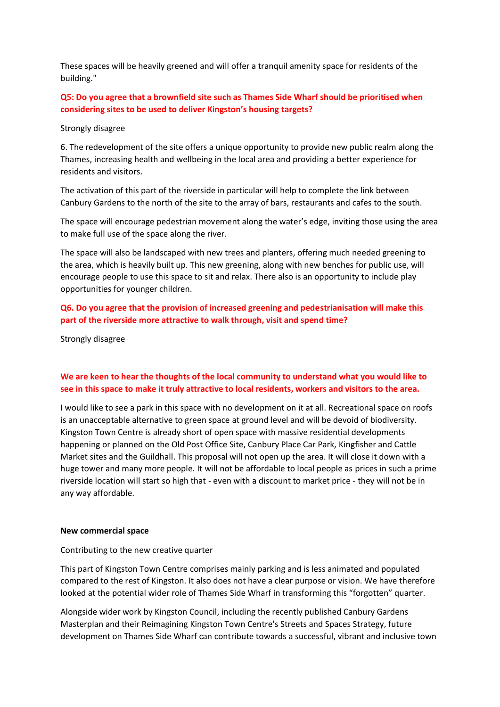These spaces will be heavily greened and will offer a tranquil amenity space for residents of the building."

# **Q5: Do you agree that a brownfield site such as Thames Side Wharf should be prioritised when considering sites to be used to deliver Kingston's housing targets?**

### Strongly disagree

6. The redevelopment of the site offers a unique opportunity to provide new public realm along the Thames, increasing health and wellbeing in the local area and providing a better experience for residents and visitors.

The activation of this part of the riverside in particular will help to complete the link between Canbury Gardens to the north of the site to the array of bars, restaurants and cafes to the south.

The space will encourage pedestrian movement along the water's edge, inviting those using the area to make full use of the space along the river.

The space will also be landscaped with new trees and planters, offering much needed greening to the area, which is heavily built up. This new greening, along with new benches for public use, will encourage people to use this space to sit and relax. There also is an opportunity to include play opportunities for younger children.

# **Q6. Do you agree that the provision of increased greening and pedestrianisation will make this part of the riverside more attractive to walk through, visit and spend time?**

Strongly disagree

# **We are keen to hear the thoughts of the local community to understand what you would like to see in this space to make it truly attractive to local residents, workers and visitors to the area.**

I would like to see a park in this space with no development on it at all. Recreational space on roofs is an unacceptable alternative to green space at ground level and will be devoid of biodiversity. Kingston Town Centre is already short of open space with massive residential developments happening or planned on the Old Post Office Site, Canbury Place Car Park, Kingfisher and Cattle Market sites and the Guildhall. This proposal will not open up the area. It will close it down with a huge tower and many more people. It will not be affordable to local people as prices in such a prime riverside location will start so high that - even with a discount to market price - they will not be in any way affordable.

#### **New commercial space**

#### Contributing to the new creative quarter

This part of Kingston Town Centre comprises mainly parking and is less animated and populated compared to the rest of Kingston. It also does not have a clear purpose or vision. We have therefore looked at the potential wider role of Thames Side Wharf in transforming this "forgotten" quarter.

Alongside wider work by Kingston Council, including the recently published Canbury Gardens Masterplan and their Reimagining Kingston Town Centre's Streets and Spaces Strategy, future development on Thames Side Wharf can contribute towards a successful, vibrant and inclusive town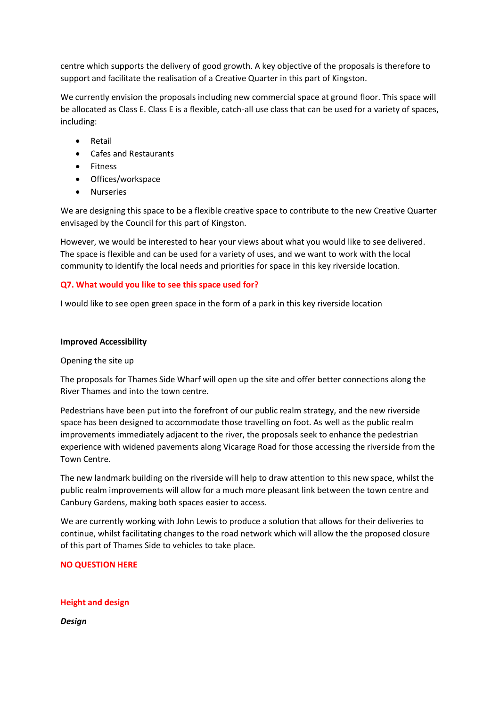centre which supports the delivery of good growth. A key objective of the proposals is therefore to support and facilitate the realisation of a Creative Quarter in this part of Kingston.

We currently envision the proposals including new commercial space at ground floor. This space will be allocated as Class E. Class E is a flexible, catch-all use class that can be used for a variety of spaces, including:

- **Retail**
- Cafes and Restaurants
- Fitness
- Offices/workspace
- Nurseries

We are designing this space to be a flexible creative space to contribute to the new Creative Quarter envisaged by the Council for this part of Kingston.

However, we would be interested to hear your views about what you would like to see delivered. The space is flexible and can be used for a variety of uses, and we want to work with the local community to identify the local needs and priorities for space in this key riverside location.

## **Q7. What would you like to see this space used for?**

I would like to see open green space in the form of a park in this key riverside location

#### **Improved Accessibility**

#### Opening the site up

The proposals for Thames Side Wharf will open up the site and offer better connections along the River Thames and into the town centre.

Pedestrians have been put into the forefront of our public realm strategy, and the new riverside space has been designed to accommodate those travelling on foot. As well as the public realm improvements immediately adjacent to the river, the proposals seek to enhance the pedestrian experience with widened pavements along Vicarage Road for those accessing the riverside from the Town Centre.

The new landmark building on the riverside will help to draw attention to this new space, whilst the public realm improvements will allow for a much more pleasant link between the town centre and Canbury Gardens, making both spaces easier to access.

We are currently working with John Lewis to produce a solution that allows for their deliveries to continue, whilst facilitating changes to the road network which will allow the the proposed closure of this part of Thames Side to vehicles to take place.

## **NO QUESTION HERE**

## **Height and design**

*Design*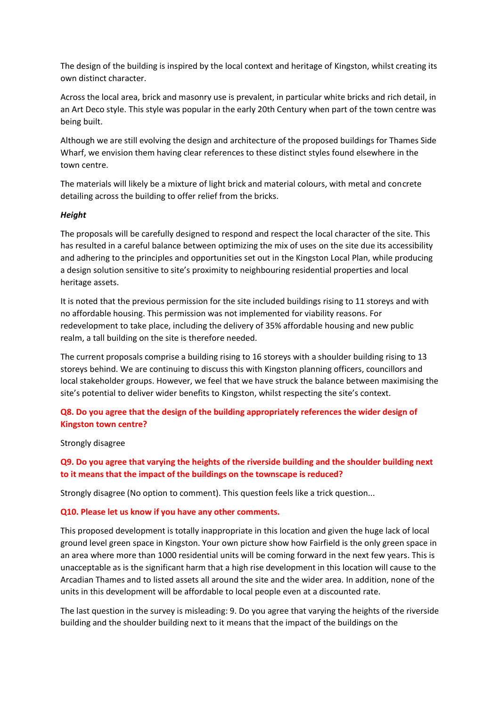The design of the building is inspired by the local context and heritage of Kingston, whilst creating its own distinct character.

Across the local area, brick and masonry use is prevalent, in particular white bricks and rich detail, in an Art Deco style. This style was popular in the early 20th Century when part of the town centre was being built.

Although we are still evolving the design and architecture of the proposed buildings for Thames Side Wharf, we envision them having clear references to these distinct styles found elsewhere in the town centre.

The materials will likely be a mixture of light brick and material colours, with metal and concrete detailing across the building to offer relief from the bricks.

### *Height*

The proposals will be carefully designed to respond and respect the local character of the site. This has resulted in a careful balance between optimizing the mix of uses on the site due its accessibility and adhering to the principles and opportunities set out in the Kingston Local Plan, while producing a design solution sensitive to site's proximity to neighbouring residential properties and local heritage assets.

It is noted that the previous permission for the site included buildings rising to 11 storeys and with no affordable housing. This permission was not implemented for viability reasons. For redevelopment to take place, including the delivery of 35% affordable housing and new public realm, a tall building on the site is therefore needed.

The current proposals comprise a building rising to 16 storeys with a shoulder building rising to 13 storeys behind. We are continuing to discuss this with Kingston planning officers, councillors and local stakeholder groups. However, we feel that we have struck the balance between maximising the site's potential to deliver wider benefits to Kingston, whilst respecting the site's context.

# **Q8. Do you agree that the design of the building appropriately references the wider design of Kingston town centre?**

Strongly disagree

**Q9. Do you agree that varying the heights of the riverside building and the shoulder building next to it means that the impact of the buildings on the townscape is reduced?**

Strongly disagree (No option to comment). This question feels like a trick question...

## **Q10. Please let us know if you have any other comments.**

This proposed development is totally inappropriate in this location and given the huge lack of local ground level green space in Kingston. Your own picture show how Fairfield is the only green space in an area where more than 1000 residential units will be coming forward in the next few years. This is unacceptable as is the significant harm that a high rise development in this location will cause to the Arcadian Thames and to listed assets all around the site and the wider area. In addition, none of the units in this development will be affordable to local people even at a discounted rate.

The last question in the survey is misleading: 9. Do you agree that varying the heights of the riverside building and the shoulder building next to it means that the impact of the buildings on the